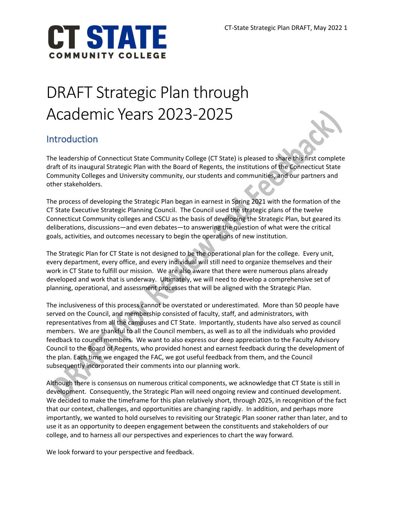

# DRAFT Strategic Plan through Academic Years 2023-2025

# Introduction

The leadership of Connecticut State Community College (CT State) is pleased to share this first complete draft of its inaugural Strategic Plan with the Board of Regents, the institutions of the Connecticut State Community Colleges and University community, our students and communities, and our partners and other stakeholders.

The process of developing the Strategic Plan began in earnest in Spring 2021 with the formation of the CT State Executive Strategic Planning Council. The Council used the strategic plans of the twelve Connecticut Community colleges and CSCU as the basis of developing the Strategic Plan, but geared its deliberations, discussions—and even debates—to answering the question of what were the critical goals, activities, and outcomes necessary to begin the operations of new institution.

The Strategic Plan for CT State is not designed to be the operational plan for the college. Every unit, every department, every office, and every individual will still need to organize themselves and their work in CT State to fulfill our mission. We are also aware that there were numerous plans already developed and work that is underway. Ultimately, we will need to develop a comprehensive set of planning, operational, and assessment processes that will be aligned with the Strategic Plan.

The inclusiveness of this process cannot be overstated or underestimated. More than 50 people have served on the Council, and membership consisted of faculty, staff, and administrators, with representatives from all the campuses and CT State. Importantly, students have also served as council members. We are thankful to all the Council members, as well as to all the individuals who provided feedback to council members. We want to also express our deep appreciation to the Faculty Advisory Council to the Board of Regents, who provided honest and earnest feedback during the development of the plan. Each time we engaged the FAC, we got useful feedback from them, and the Council subsequently incorporated their comments into our planning work.

Although there is consensus on numerous critical components, we acknowledge that CT State is still in development. Consequently, the Strategic Plan will need ongoing review and continued development. We decided to make the timeframe for this plan relatively short, through 2025, in recognition of the fact that our context, challenges, and opportunities are changing rapidly. In addition, and perhaps more importantly, we wanted to hold ourselves to revisiting our Strategic Plan sooner rather than later, and to use it as an opportunity to deepen engagement between the constituents and stakeholders of our college, and to harness all our perspectives and experiences to chart the way forward.

We look forward to your perspective and feedback.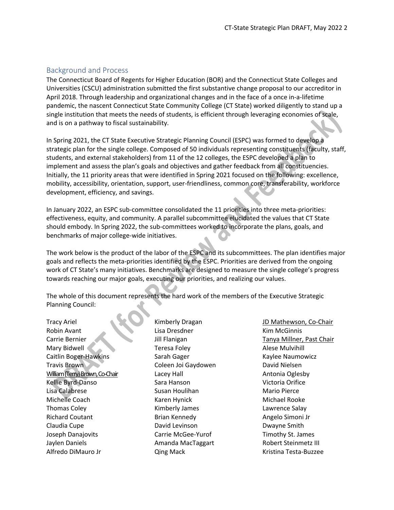#### Background and Process

The Connecticut Board of Regents for Higher Education (BOR) and the Connecticut State Colleges and Universities (CSCU) administration submitted the first substantive change proposal to our accreditor in April 2018. Through leadership and organizational changes and in the face of a once in-a-lifetime pandemic, the nascent Connecticut State Community College (CT State) worked diligently to stand up a single institution that meets the needs of students, is efficient through leveraging economies of scale, and is on a pathway to fiscal sustainability.

In Spring 2021, the CT State Executive Strategic Planning Council (ESPC) was formed to develop a strategic plan for the single college. Composed of 50 individuals representing constituents (faculty, staff, students, and external stakeholders) from 11 of the 12 colleges, the ESPC developed a plan to implement and assess the plan's goals and objectives and gather feedback from all constituencies. Initially, the 11 priority areas that were identified in Spring 2021 focused on the following: excellence, mobility, accessibility, orientation, support, user-friendliness, common core, transferability, workforce development, efficiency, and savings.

In January 2022, an ESPC sub-committee consolidated the 11 priorities into three meta-priorities: effectiveness, equity, and community. A parallel subcommittee elucidated the values that CT State should embody. In Spring 2022, the sub-committees worked to incorporate the plans, goals, and benchmarks of major college-wide initiatives.

The work below is the product of the labor of the ESPC and its subcommittees. The plan identifies major goals and reflects the meta-priorities identified by the ESPC. Priorities are derived from the ongoing work of CT State's many initiatives. Benchmarks are designed to measure the single college's progress towards reaching our major goals, executing our priorities, and realizing our values.

The whole of this document represents the hard work of the members of the Executive Strategic Planning Council:

Tracy Ariel Robin Avant Carrie Bernier Mary Bidwell Caitlin Boger-Hawkins Travis Brown William (Terry) Brown, Co-Chair Kellie Byrd-Danso Lisa Calabrese Michelle Coach Thomas Coley Richard Coutant Claudia Cupe Joseph Danajovits Jaylen Daniels Alfredo DiMauro Jr

Kimberly Dragan Lisa Dresdner Jill Flanigan Teresa Foley Sarah Gager Coleen Joi Gaydowen Lacey Hall Sara Hanson Susan Houlihan Karen Hynick Kimberly James Brian Kennedy David Levinson Carrie McGee-Yurof Amanda MacTaggart Qing Mack

JD Mathewson, Co-Chair Kim McGinnis Tanya Millner, Past Chair Alese Mulvihill Kaylee Naumowicz David Nielsen Antonia Oglesby Victoria Orifice Mario Pierce Michael Rooke Lawrence Salay Angelo Simoni Jr Dwayne Smith Timothy St. James Robert Steinmetz III Kristina Testa-Buzzee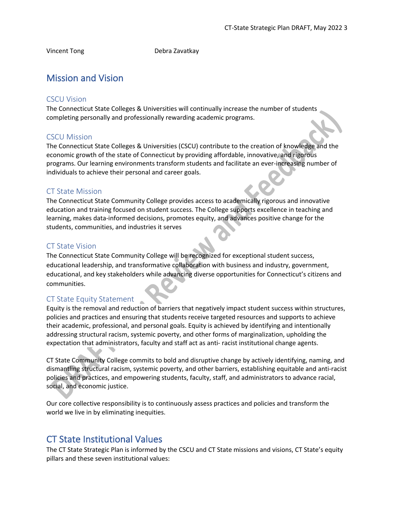Vincent Tong Debra Zavatkay

# Mission and Vision

#### CSCU Vision

The Connecticut State Colleges & Universities will continually increase the number of students completing personally and professionally rewarding academic programs.

#### CSCU Mission

The Connecticut State Colleges & Universities (CSCU) contribute to the creation of knowledge and the economic growth of the state of Connecticut by providing affordable, innovative, and rigorous programs. Our learning environments transform students and facilitate an ever-increasing number of individuals to achieve their personal and career goals.

#### CT State Mission

The Connecticut State Community College provides access to academically rigorous and innovative education and training focused on student success. The College supports excellence in teaching and learning, makes data-informed decisions, promotes equity, and advances positive change for the students, communities, and industries it serves

#### CT State Vision

The Connecticut State Community College will be recognized for exceptional student success, educational leadership, and transformative collaboration with business and industry, government, educational, and key stakeholders while advancing diverse opportunities for Connecticut's citizens and communities.

#### CT State Equity Statement

Equity is the removal and reduction of barriers that negatively impact student success within structures, policies and practices and ensuring that students receive targeted resources and supports to achieve their academic, professional, and personal goals. Equity is achieved by identifying and intentionally addressing structural racism, systemic poverty, and other forms of marginalization, upholding the expectation that administrators, faculty and staff act as anti- racist institutional change agents.

CT State Community College commits to bold and disruptive change by actively identifying, naming, and dismantling structural racism, systemic poverty, and other barriers, establishing equitable and anti-racist policies and practices, and empowering students, faculty, staff, and administrators to advance racial, social, and economic justice.

Our core collective responsibility is to continuously assess practices and policies and transform the world we live in by eliminating inequities.

## CT State Institutional Values

The CT State Strategic Plan is informed by the CSCU and CT State missions and visions, CT State's equity pillars and these seven institutional values: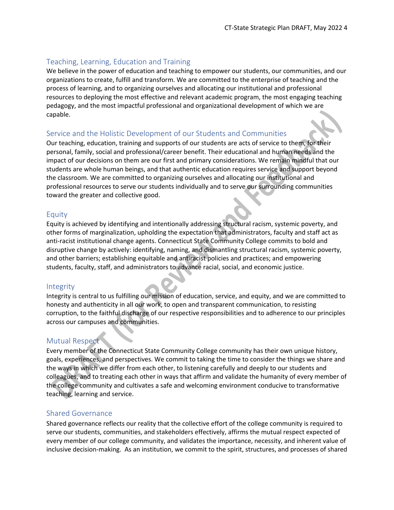#### Teaching, Learning, Education and Training

We believe in the power of education and teaching to empower our students, our communities, and our organizations to create, fulfill and transform. We are committed to the enterprise of teaching and the process of learning, and to organizing ourselves and allocating our institutional and professional resources to deploying the most effective and relevant academic program, the most engaging teaching pedagogy, and the most impactful professional and organizational development of which we are capable.

#### Service and the Holistic Development of our Students and Communities

Our teaching, education, training and supports of our students are acts of service to them, for their personal, family, social and professional/career benefit. Their educational and human needs and the impact of our decisions on them are our first and primary considerations. We remain mindful that our students are whole human beings, and that authentic education requires service and support beyond the classroom. We are committed to organizing ourselves and allocating our institutional and professional resources to serve our students individually and to serve our surrounding communities toward the greater and collective good.

#### Equity

Equity is achieved by identifying and intentionally addressing structural racism, systemic poverty, and other forms of marginalization, upholding the expectation that administrators, faculty and staff act as anti-racist institutional change agents. Connecticut State Community College commits to bold and disruptive change by actively: identifying, naming, and dismantling structural racism, systemic poverty, and other barriers; establishing equitable and antiracist policies and practices; and empowering students, faculty, staff, and administrators to advance racial, social, and economic justice.

#### Integrity

Integrity is central to us fulfilling our mission of education, service, and equity, and we are committed to honesty and authenticity in all our work, to open and transparent communication, to resisting corruption, to the faithful discharge of our respective responsibilities and to adherence to our principles across our campuses and communities.

#### Mutual Respect

Every member of the Connecticut State Community College community has their own unique history, goals, experiences, and perspectives. We commit to taking the time to consider the things we share and the ways in which we differ from each other, to listening carefully and deeply to our students and colleagues, and to treating each other in ways that affirm and validate the humanity of every member of the college community and cultivates a safe and welcoming environment conducive to transformative teaching, learning and service.

#### Shared Governance

Shared governance reflects our reality that the collective effort of the college community is required to serve our students, communities, and stakeholders effectively, affirms the mutual respect expected of every member of our college community, and validates the importance, necessity, and inherent value of inclusive decision-making. As an institution, we commit to the spirit, structures, and processes of shared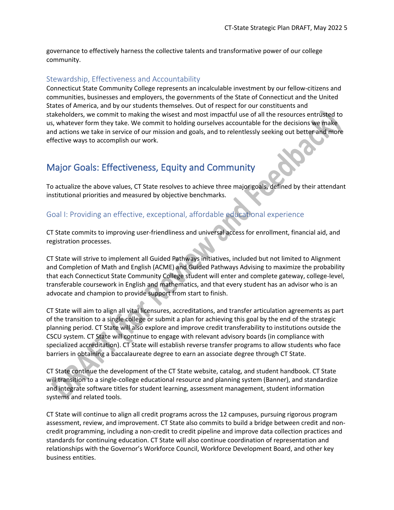governance to effectively harness the collective talents and transformative power of our college community.

#### Stewardship, Effectiveness and Accountability

Connecticut State Community College represents an incalculable investment by our fellow-citizens and communities, businesses and employers, the governments of the State of Connecticut and the United States of America, and by our students themselves. Out of respect for our constituents and stakeholders, we commit to making the wisest and most impactful use of all the resources entrusted to us, whatever form they take. We commit to holding ourselves accountable for the decisions we make and actions we take in service of our mission and goals, and to relentlessly seeking out better and more effective ways to accomplish our work.

## Major Goals: Effectiveness, Equity and Community

To actualize the above values, CT State resolves to achieve three major goals, defined by their attendant institutional priorities and measured by objective benchmarks.

#### Goal I: Providing an effective, exceptional, affordable educational experience

CT State commits to improving user-friendliness and universal access for enrollment, financial aid, and registration processes.

CT State will strive to implement all Guided Pathways initiatives, included but not limited to Alignment and Completion of Math and English (ACME) and Guided Pathways Advising to maximize the probability that each Connecticut State Community College student will enter and complete gateway, college-level, transferable coursework in English and mathematics, and that every student has an advisor who is an advocate and champion to provide support from start to finish.

CT State will aim to align all vital licensures, accreditations, and transfer articulation agreements as part of the transition to a single college or submit a plan for achieving this goal by the end of the strategic planning period. CT State will also explore and improve credit transferability to institutions outside the CSCU system. CT State will continue to engage with relevant advisory boards (in compliance with specialized accreditation). CT State will establish reverse transfer programs to allow students who face barriers in obtaining a baccalaureate degree to earn an associate degree through CT State.

CT State continue the development of the CT State website, catalog, and student handbook. CT State will transition to a single-college educational resource and planning system (Banner), and standardize and integrate software titles for student learning, assessment management, student information systems and related tools.

CT State will continue to align all credit programs across the 12 campuses, pursuing rigorous program assessment, review, and improvement. CT State also commits to build a bridge between credit and noncredit programming, including a non-credit to credit pipeline and improve data collection practices and standards for continuing education. CT State will also continue coordination of representation and relationships with the Governor's Workforce Council, Workforce Development Board, and other key business entities.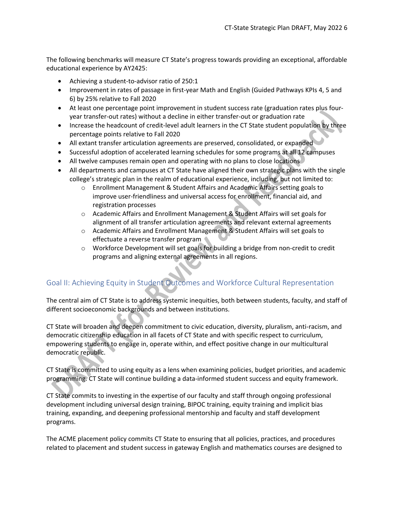The following benchmarks will measure CT State's progress towards providing an exceptional, affordable educational experience by AY2425:

- Achieving a student-to-advisor ratio of 250:1
- Improvement in rates of passage in first-year Math and English (Guided Pathways KPIs 4, 5 and 6) by 25% relative to Fall 2020
- At least one percentage point improvement in student success rate (graduation rates plus fouryear transfer-out rates) without a decline in either transfer-out or graduation rate
- Increase the headcount of credit-level adult learners in the CT State student population by three percentage points relative to Fall 2020
- All extant transfer articulation agreements are preserved, consolidated, or expanded
- Successful adoption of accelerated learning schedules for some programs at all 12 campuses
- All twelve campuses remain open and operating with no plans to close locations
- All departments and campuses at CT State have aligned their own strategic plans with the single college's strategic plan in the realm of educational experience, including, but not limited to:
	- o Enrollment Management & Student Affairs and Academic Affairs setting goals to improve user-friendliness and universal access for enrollment, financial aid, and registration processes
	- o Academic Affairs and Enrollment Management & Student Affairs will set goals for alignment of all transfer articulation agreements and relevant external agreements
	- o Academic Affairs and Enrollment Management & Student Affairs will set goals to effectuate a reverse transfer program
	- o Workforce Development will set goals for building a bridge from non-credit to credit programs and aligning external agreements in all regions.

## Goal II: Achieving Equity in Student Outcomes and Workforce Cultural Representation

The central aim of CT State is to address systemic inequities, both between students, faculty, and staff of different socioeconomic backgrounds and between institutions.

CT State will broaden and deepen commitment to civic education, diversity, pluralism, anti-racism, and democratic citizenship education in all facets of CT State and with specific respect to curriculum, empowering students to engage in, operate within, and effect positive change in our multicultural democratic republic.

CT State is committed to using equity as a lens when examining policies, budget priorities, and academic programming. CT State will continue building a data-informed student success and equity framework.

CT State commits to investing in the expertise of our faculty and staff through ongoing professional development including universal design training, BIPOC training, equity training and implicit bias training, expanding, and deepening professional mentorship and faculty and staff development programs.

The ACME placement policy commits CT State to ensuring that all policies, practices, and procedures related to placement and student success in gateway English and mathematics courses are designed to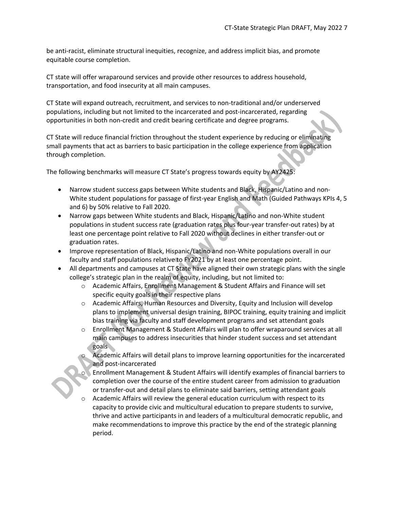be anti-racist, eliminate structural inequities, recognize, and address implicit bias, and promote equitable course completion.

CT state will offer wraparound services and provide other resources to address household, transportation, and food insecurity at all main campuses.

CT State will expand outreach, recruitment, and services to non-traditional and/or underserved populations, including but not limited to the incarcerated and post-incarcerated, regarding opportunities in both non-credit and credit bearing certificate and degree programs.

CT State will reduce financial friction throughout the student experience by reducing or eliminating small payments that act as barriers to basic participation in the college experience from application through completion.

The following benchmarks will measure CT State's progress towards equity by AY2425:

- Narrow student success gaps between White students and Black, Hispanic/Latino and non-White student populations for passage of first-year English and Math (Guided Pathways KPIs 4, 5 and 6) by 50% relative to Fall 2020.
- Narrow gaps between White students and Black, Hispanic/Latino and non-White student populations in student success rate (graduation rates plus four-year transfer-out rates) by at least one percentage point relative to Fall 2020 without declines in either transfer-out or graduation rates.
- Improve representation of Black, Hispanic/Latino and non-White populations overall in our faculty and staff populations relative to FY2021 by at least one percentage point.
- All departments and campuses at CT State have aligned their own strategic plans with the single college's strategic plan in the realm of equity, including, but not limited to:
	- o Academic Affairs, Enrollment Management & Student Affairs and Finance will set specific equity goals in their respective plans
	- o Academic Affairs, Human Resources and Diversity, Equity and Inclusion will develop plans to implement universal design training, BIPOC training, equity training and implicit bias training via faculty and staff development programs and set attendant goals
	- o Enrollment Management & Student Affairs will plan to offer wraparound services at all main campuses to address insecurities that hinder student success and set attendant goals

Academic Affairs will detail plans to improve learning opportunities for the incarcerated and post-incarcerated

- **Enrollment Management & Student Affairs will identify examples of financial barriers to** completion over the course of the entire student career from admission to graduation or transfer-out and detail plans to eliminate said barriers, setting attendant goals
- Academic Affairs will review the general education curriculum with respect to its capacity to provide civic and multicultural education to prepare students to survive, thrive and active participants in and leaders of a multicultural democratic republic, and make recommendations to improve this practice by the end of the strategic planning period.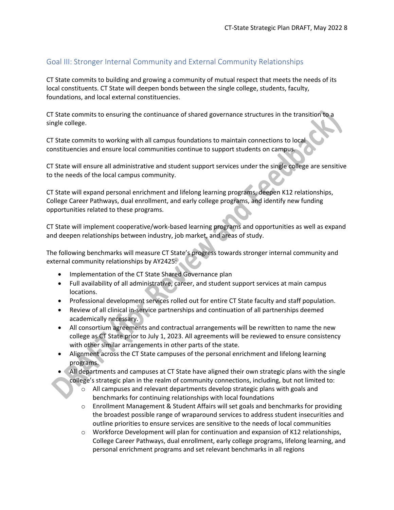### Goal III: Stronger Internal Community and External Community Relationships

CT State commits to building and growing a community of mutual respect that meets the needs of its local constituents. CT State will deepen bonds between the single college, students, faculty, foundations, and local external constituencies.

CT State commits to ensuring the continuance of shared governance structures in the transition to a single college.

CT State commits to working with all campus foundations to maintain connections to local constituencies and ensure local communities continue to support students on campus.

CT State will ensure all administrative and student support services under the single college are sensitive to the needs of the local campus community.

CT State will expand personal enrichment and lifelong learning programs, deepen K12 relationships, College Career Pathways, dual enrollment, and early college programs, and identify new funding opportunities related to these programs.

CT State will implement cooperative/work-based learning programs and opportunities as well as expand and deepen relationships between industry, job market, and areas of study.

The following benchmarks will measure CT State's progress towards stronger internal community and external community relationships by AY2425:

- Implementation of the CT State Shared Governance plan
- Full availability of all administrative, career, and student support services at main campus locations.
- Professional development services rolled out for entire CT State faculty and staff population.
- Review of all clinical in-service partnerships and continuation of all partnerships deemed academically necessary.
- All consortium agreements and contractual arrangements will be rewritten to name the new college as CT State prior to July 1, 2023. All agreements will be reviewed to ensure consistency with other similar arrangements in other parts of the state.
- Alignment across the CT State campuses of the personal enrichment and lifelong learning programs.
- All departments and campuses at CT State have aligned their own strategic plans with the single college's strategic plan in the realm of community connections, including, but not limited to:
	- $\circ$  All campuses and relevant departments develop strategic plans with goals and benchmarks for continuing relationships with local foundations
	- o Enrollment Management & Student Affairs will set goals and benchmarks for providing the broadest possible range of wraparound services to address student insecurities and outline priorities to ensure services are sensitive to the needs of local communities
	- o Workforce Development will plan for continuation and expansion of K12 relationships, College Career Pathways, dual enrollment, early college programs, lifelong learning, and personal enrichment programs and set relevant benchmarks in all regions